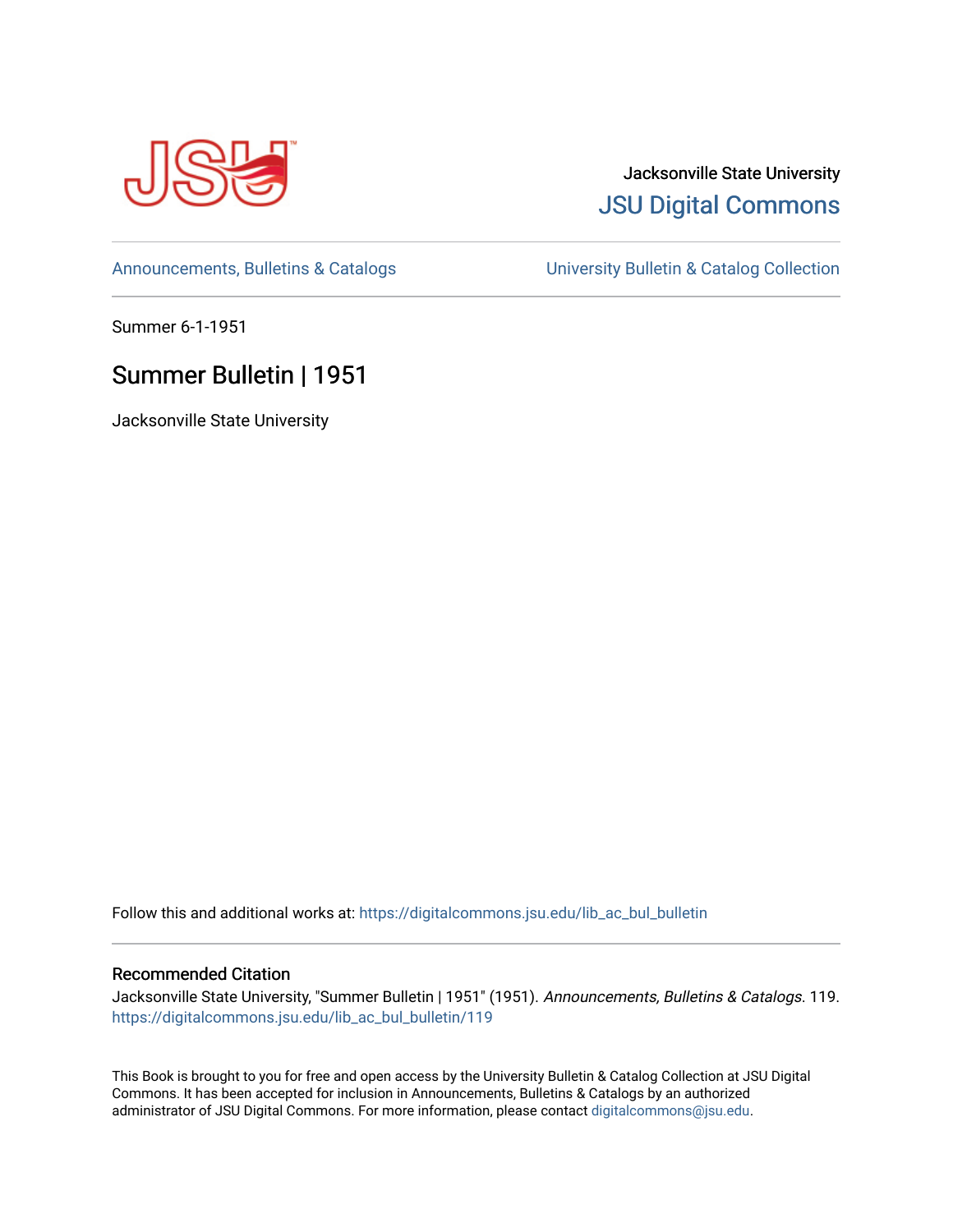

# Jacksonville State University [JSU Digital Commons](https://digitalcommons.jsu.edu/)

[Announcements, Bulletins & Catalogs](https://digitalcommons.jsu.edu/lib_ac_bul_bulletin) [University Bulletin & Catalog Collection](https://digitalcommons.jsu.edu/lib_ac_bulletin) 

Summer 6-1-1951

# Summer Bulletin | 1951

Jacksonville State University

Follow this and additional works at: [https://digitalcommons.jsu.edu/lib\\_ac\\_bul\\_bulletin](https://digitalcommons.jsu.edu/lib_ac_bul_bulletin?utm_source=digitalcommons.jsu.edu%2Flib_ac_bul_bulletin%2F119&utm_medium=PDF&utm_campaign=PDFCoverPages) 

# Recommended Citation

Jacksonville State University, "Summer Bulletin | 1951" (1951). Announcements, Bulletins & Catalogs. 119. [https://digitalcommons.jsu.edu/lib\\_ac\\_bul\\_bulletin/119](https://digitalcommons.jsu.edu/lib_ac_bul_bulletin/119?utm_source=digitalcommons.jsu.edu%2Flib_ac_bul_bulletin%2F119&utm_medium=PDF&utm_campaign=PDFCoverPages) 

This Book is brought to you for free and open access by the University Bulletin & Catalog Collection at JSU Digital Commons. It has been accepted for inclusion in Announcements, Bulletins & Catalogs by an authorized administrator of JSU Digital Commons. For more information, please contact [digitalcommons@jsu.edu.](mailto:digitalcommons@jsu.edu)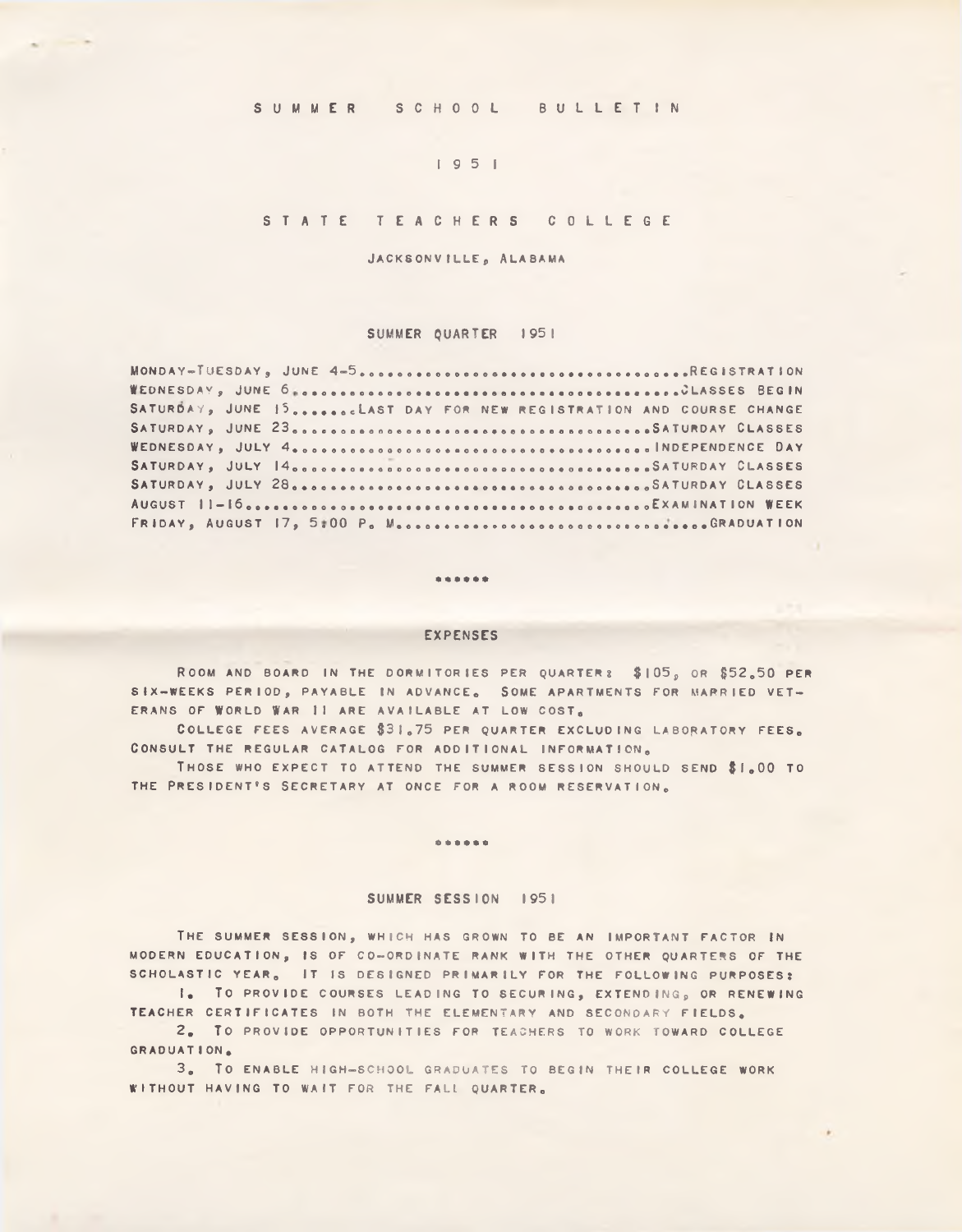**SUMMER** SCHOOL BULLETIN

# **1951**

# **STATE TEACHERS COLLEGE**

JACKSONVILLE, ALABAMA

### **SUMMER QUARTER 1951**

| SATURDAY, JUNE 15LAST DAY FOR NEW REGISTRATION AND COURSE CHANGE |
|------------------------------------------------------------------|
|                                                                  |
|                                                                  |
|                                                                  |
|                                                                  |
|                                                                  |
|                                                                  |

#### . . . . . .

# **EXPENSES**

**R oom and board i n the d o r m it o r ie s per q u a r t e r : \$ 1 0 5 , o r \$52.50 per** S IX-WEEKS PERIOD, PAYABLE IN ADVANCE. SOME APARTMENTS FOR MARRIED VET-ERANS OF WORLD WAR II ARE AVAILABLE AT LOW COST.

**C o l l e g e f e e s a vera g e \$ 3 1 .75 per quarter ex c l u d in g labo ra to ry f e e s . CONSULT THE REGULAR CATALOG FOR ADDITIONAL INFORMATION,** 

**T hose who e x p e c t t o attend the summer s e s s io n should send \$1.00 t o** THE PRESIDENT'S SECRETARY AT ONCE FOR A ROOM RESERVATION.

#### $0.99999$

### **SUMMER SESSION 1951**

THE SUMMER SESSION, WHICH HAS GROWN TO BE AN IMPORTANT FACTOR IN MODERN EDUCATION, IS OF CO-ORDINATE RANK WITH THE OTHER QUARTERS OF THE SCHOLASTIC YEAR<sub>6</sub> IT IS DESIGNED PRIMARILY FOR THE FOLLOWING PURPOSES:

**1. TO PROVIDE COURSES LEADING TO SECURING, EXTENDING, OR RENEWING** TEACHER CERTIFICATES IN BOTH THE ELEMENTARY AND SECONDARY FIELDS.

**2. To PROVIDE OPPORTUNITIES FOR TEACHERS TO WORK TOWARD COLLEGE GRADUATION.**

3. TO ENABLE HIGH-SCHOOL GRADUATES TO BEGIN THEIR COLLEGE WORK WITHOUT HAVING TO WAIT FOR THE FALL QUARTER.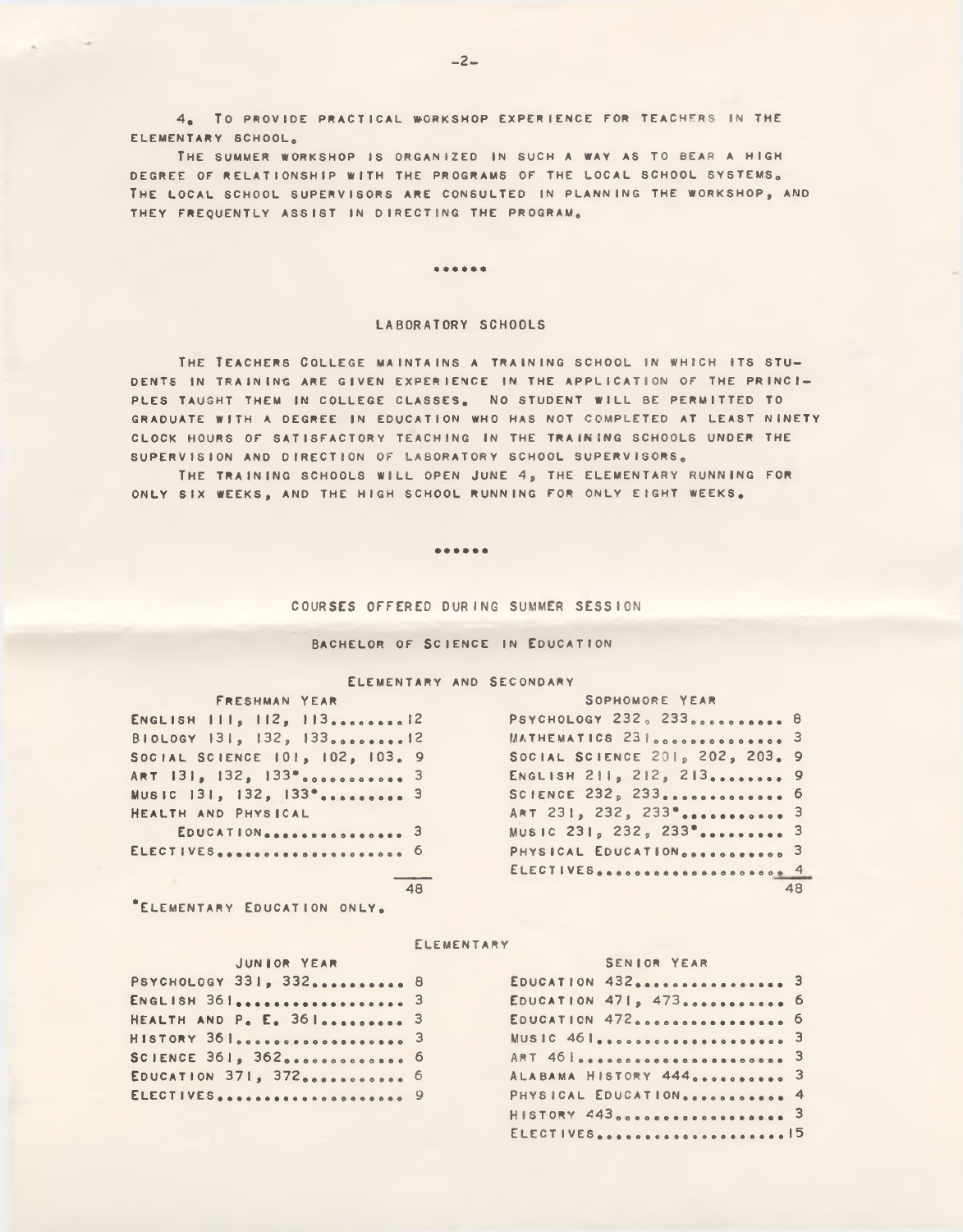**4. TO PROVIDE PRACTICAL WORKSHOP EXPERIENCE FOR TEACHERS IN THE ELEMENTARY SCHOOL.**

**T h e summer workshop i s o rgan ized i n such a way a s t o bear a high** DEGREE OF RELATIONSHIP WITH THE PROGRAMS OF THE LOCAL SCHOOL SYSTEMS. **T h e lo c a l SCHOOL s u p e r v is o r s are co n su lted i n pla n n in g the w or ksh o p , and** THEY FREQUENTLY ASSIST IN DIRECTING THE PROGRAM.

#### ......

#### **LABORATORY SCHOOLS**

**T h e T ea c h er s C o l l e g e m a in ta in s a t r a in in g sc h o o l i n which its s t u DENTS IN TRAINING ARE GIVEN EXPERIENCE IN THE APPLICATION OF THE PRINCI-**PLES TAUGHT THEM IN COLLEGE CLASSES. NO STUDENT WILL BE PERMITTED TO GRADUATE WITH A DEGREE IN EDUCATION WHO HAS NOT COMPLETED AT LEAST NINETY **CLOCK HOURS OF SATISFACTORY TEACHING IN THE TRAINING SCHOOLS UNDER THE** SUPERVISION AND DIRECTION OF LABORATORY SCHOOL SUPERVISORS.

THE TRAINING SCHOOLS WILL OPEN JUNE 4, THE ELEMENTARY RUNNING FOR ONLY SIX WEEKS, AND THE HIGH SCHOOL RUNNING FOR ONLY EIGHT WEEKS.

#### ......

#### **COURSES OFFERED DURING SUMMER SESSION**

#### **BACHELOR OF SCIENCE IN EDUCATION**

#### **E lem en ta ry and S econdary**

|                                    | $1.0.1011$ mair $1.601$ |  |
|------------------------------------|-------------------------|--|
| ENGLISH III, 112, 11312            |                         |  |
| BIOLOGY 131, 132, 13312            |                         |  |
| SOCIAL SCIENCE 101, 102, 103.      |                         |  |
|                                    |                         |  |
| MUSIC 131, 132, 133 <sup>°</sup> 3 |                         |  |
| HEALTH AND PHYSICAL                |                         |  |
| <b>ENRATION CONTROL</b>            |                         |  |

FRESHMAN YEAR SOPHOMORE YEAR **E n g l is h 1 1 1 , 112, 1 13 ...................... . 12 P sycho lo gy 232, 2 3 3 . . . . . . . . . . 8 MATHEMATICS 23 . . . . . . . . . . . . . . 3 S o c ia l S c ie n c e 1 0 1 , 1 0 2 , 1 0 3 . 9 S o c ia l s c i e n c e 201, 202, 203. 9** ART **1 3 1 , 1 3 2 , 1 3 3 \* . . . . . . . . . . . 3 E n g l is h 2 1 1 , 2 1 2 , 2 1 3 .......................... 9 Music 1 3 1 , 1 3 2 , 1 3 3 \* . . . . . . . . . 3 S C I E N C E 232, 2 33 .......................................... <sup>6</sup>** ART 231, 232, 233<sup>\*</sup> .............. 3 **E d u c a t io n ....................... 3 m u sic 2 3 1 , 2 3 2 , 2 3 3 \* ..................................3 E l e c t i v e s . . . ................. ................................... 6 p h y s ic a l E d u c a t io n . . . . . . . . . . . 3 \_\_\_\_\_\_\_\_ E l e c t i v e s . . . . . . . . .................. 4 48 48**

**\* E lem en tary E ducation o n l y .**

#### **E lem en ta ry**

| JUNIOR YEAR |  |  |
|-------------|--|--|
|-------------|--|--|

| PSYCHOLOGY 331, 332 8            | EDUCATION 432  3                          |  |
|----------------------------------|-------------------------------------------|--|
|                                  | EDUCATION 471, 473 6                      |  |
| HEALTH AND P. E. 36  3           | EDUCATION 472  6                          |  |
| HISTORY 36 I. 3                  |                                           |  |
| SCIENCE 361, 36200000000000000 6 | ART 46 <i>e</i> escoso escoso escoso es 3 |  |
| EDUCATION 371, 372  6            | ALABAMA HISTORY 444 3                     |  |
| ELECTIVES 9                      | PHYSICAL EDUCATION 4                      |  |

| EDUCATION 432  3<br>EDUCATION $4719$ $4730$ $\ldots$ $\ldots$ $\ldots$ 6<br>ALABAMA HISTORY 444 3<br>PHYSICAL EDUCATION 4<br>ELECTIVES15 |  |  |  |  |  | JENIUM IEAN |  |  |  |  |  |  |  |  |  |
|------------------------------------------------------------------------------------------------------------------------------------------|--|--|--|--|--|-------------|--|--|--|--|--|--|--|--|--|
|                                                                                                                                          |  |  |  |  |  |             |  |  |  |  |  |  |  |  |  |
|                                                                                                                                          |  |  |  |  |  |             |  |  |  |  |  |  |  |  |  |
|                                                                                                                                          |  |  |  |  |  |             |  |  |  |  |  |  |  |  |  |
|                                                                                                                                          |  |  |  |  |  |             |  |  |  |  |  |  |  |  |  |
|                                                                                                                                          |  |  |  |  |  |             |  |  |  |  |  |  |  |  |  |
|                                                                                                                                          |  |  |  |  |  |             |  |  |  |  |  |  |  |  |  |
|                                                                                                                                          |  |  |  |  |  |             |  |  |  |  |  |  |  |  |  |
|                                                                                                                                          |  |  |  |  |  |             |  |  |  |  |  |  |  |  |  |
|                                                                                                                                          |  |  |  |  |  |             |  |  |  |  |  |  |  |  |  |

Senior Year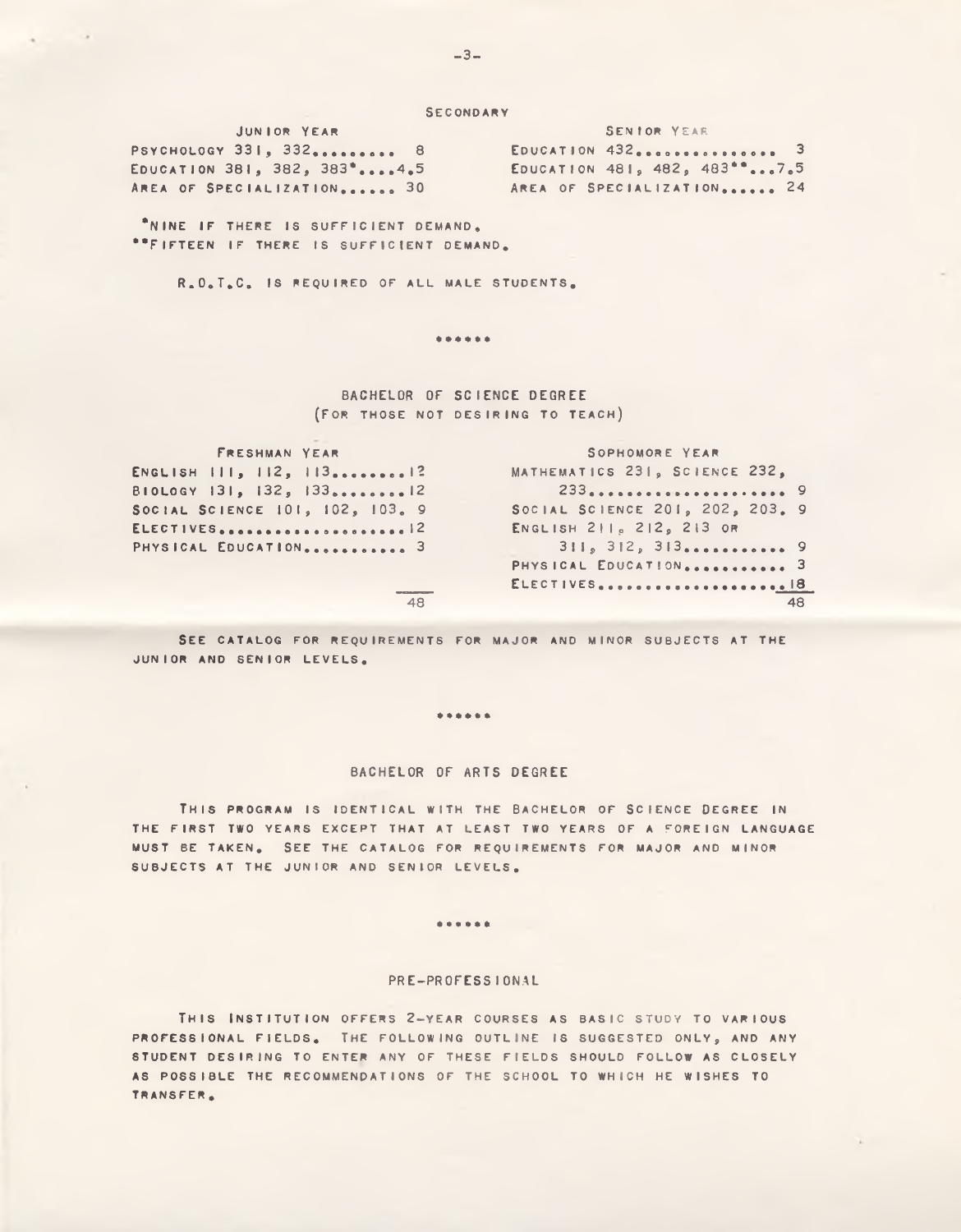**SECONDARY** 

JUNIOR YEAR PSYCHOLOGY 331, 332.......... 8 EDUCATION 381, 382, 383\*....4.5 AREA OF SPECIALIZATION...... 30

SENIOR YEAR EDUCATION 432 ................. 3 EDUCATION 481, 482, 483\*\*...7.5 AREA OF SPECIALIZATION...... 24

\*NINE IF THERE IS SUFFICIENT DEMAND. \*\*FIFTEEN IF THERE IS SUFFICIENT DEMAND.

R.O.T.C. IS REQUIRED OF ALL MALE STUDENTS.

\*\*\*\*\*\*

BACHELOR OF SCIENCE DEGREE (FOR THOSE NOT DESIRING TO TEACH)

FRESHMAN YEAR SOPHOMORE YEAR MATHEMATICS 231, SCIENCE 232, ENGLISH III, 112, 113........12 BIOLOGY 131, 132, 133........12 233....................... 9 SOCIAL SCIENCE 201, 202, 203. 9 SOCIAL SCIENCE 101, 102, 103. 9 ENGLISH 211, 212, 213 OR ELECTIVES.......................  $311, 312, 313...$ PHYSICAL EDUCATION............ 3 PHYSICAL EDUCATION............ 3 ELECTIVES...................... 18  $\overline{48}$ 48

SEE CATALOG FOR REQUIREMENTS FOR MAJOR AND MINOR SUBJECTS AT THE JUNIOR AND SENIOR LEVELS.

\*\*\*\*\*\*

#### BACHELOR OF ARTS DEGREE

THIS PROGRAM IS IDENTICAL WITH THE BACHELOR OF SCIENCE DEGREE IN THE FIRST TWO YEARS EXCEPT THAT AT LEAST TWO YEARS OF A FOREIGN LANGUAGE MUST BE TAKEN. SEE THE CATALOG FOR REQUIREMENTS FOR MAJOR AND MINOR SUBJECTS AT THE JUNIOR AND SENIOR LEVELS.

#### ......

#### PRE-PROFESSIONAL

THIS INSTITUTION OFFERS 2-YEAR COURSES AS BASIC STUDY TO VARIOUS PROFESSIONAL FIELDS. THE FOLLOWING OUTLINE IS SUGGESTED ONLY, AND ANY STUDENT DESIRING TO ENTER ANY OF THESE FIELDS SHOULD FOLLOW AS CLOSELY AS POSSIBLE THE RECOMMENDATIONS OF THE SCHOOL TO WHICH HE WISHES TO TRANSFER.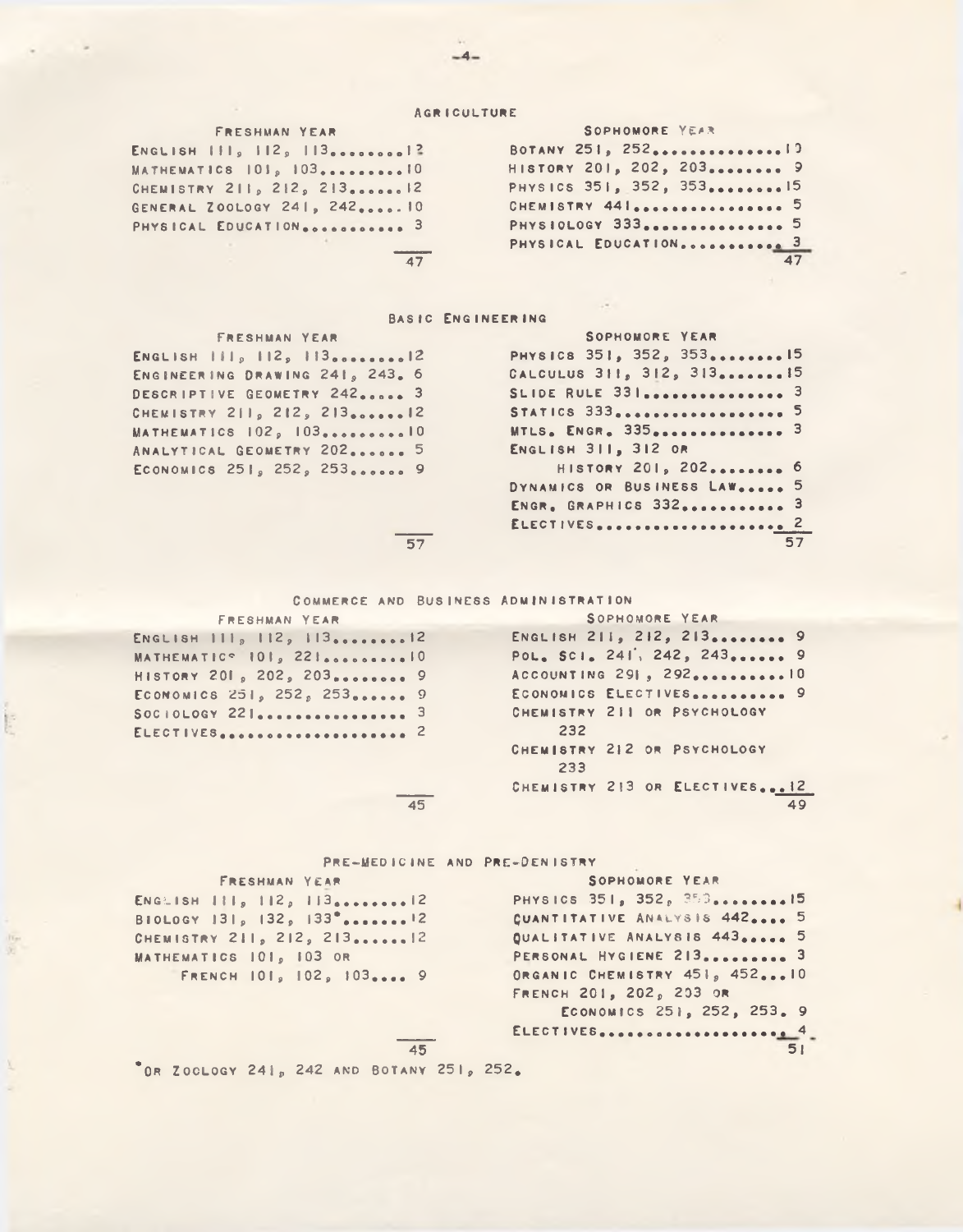#### **AGRICULTURE**

| <b>FRESHMAN YEAR</b>                                                              | <b>SOPHOMORE YEAR</b>   |
|-----------------------------------------------------------------------------------|-------------------------|
| ENGLISH $\vert \vert \vert \vert_9$ $\vert \vert \vert 2$ , $\vert \vert \vert 3$ |                         |
| MATHEMATICS $101p 1030$                                                           | HISTORY 201, 202, 203 9 |
| CHEMISTRY 211, 212, 21312                                                         | PHYSICS 351, 352, 35315 |
| GENERAL ZOOLOGY 241, 24210                                                        | CHEMISTRY 441 5         |
| PHYSICAL EDUCATION 3                                                              | PHYSIOLOGY 333 5        |
|                                                                                   | PHYSICAL EDUCATION 3    |
|                                                                                   |                         |

# BASIC ENGINEERING

| <b>FRESHMAN YEAR</b>                                                                                                                                                                                                                                                                                                            | SOPHOMORE YEAR                                  |
|---------------------------------------------------------------------------------------------------------------------------------------------------------------------------------------------------------------------------------------------------------------------------------------------------------------------------------|-------------------------------------------------|
| ENGLISH $\left  \begin{array}{cc} 1 & 1 & 2 \\ 1 & 1 & 2 \\ 2 & 1 & 3 \\ 3 & 0 & 0 \\ 4 & 1 & 0 \\ 5 & 6 & 1 & 0 \\ 6 & 1 & 1 & 0 \\ 7 & 1 & 1 & 0 \\ 8 & 1 & 1 & 0 \\ 1 & 1 & 1 & 0 \\ 1 & 1 & 1 & 0 \\ 1 & 1 & 1 & 0 & 0 \\ 1 & 1 & 1 & 1 & 0 \\ 1 & 1 & 1 & 1 & 0 \\ 1 & 1 & 1 & 1 & 0 \\ 1 & 1 & 1 & 1 & 0 \\ 1 & 1 & 1 & $ | PHYSICS 351, 352, 35315                         |
| ENGINEERING DRAWING 241, 243. 6                                                                                                                                                                                                                                                                                                 | CALCULUS 311, 312, 31315                        |
| DESCRIPTIVE GEOMETRY 242 3                                                                                                                                                                                                                                                                                                      |                                                 |
| CHEMISTRY 211, 212, 21312                                                                                                                                                                                                                                                                                                       | STATICS $333$ <sub>00000000000000000000</sub> 5 |
| MATHEMATICS 102, 10310                                                                                                                                                                                                                                                                                                          | MTLS. ENGR. 335 3                               |
| ANALYTICAL GEOMETRY 202 5                                                                                                                                                                                                                                                                                                       | ENGLISH 311, 312 OR                             |
| ECONOMICS 251, 252, 253 9                                                                                                                                                                                                                                                                                                       | HISTORY 201, 202 6                              |
|                                                                                                                                                                                                                                                                                                                                 | DYNAMICS OR BUSINESS LAW 5                      |
|                                                                                                                                                                                                                                                                                                                                 | ENGR, GRAPHICS 332 3                            |
|                                                                                                                                                                                                                                                                                                                                 | ELECTIVES 2                                     |

 $57$ 

COMMERCE AND BUSINESS ADMINISTRATION

FRESHMAN YEAR

| ENGLISH $1118 1129 1130000000000012$ |  |  |  |  |  |  |  |  |
|--------------------------------------|--|--|--|--|--|--|--|--|
| MATHEMATIC <sup>o</sup> 101, 2210    |  |  |  |  |  |  |  |  |
| HISTORY 201, 202, 203 9              |  |  |  |  |  |  |  |  |
| ECONOMICS 251, 252, 253 9            |  |  |  |  |  |  |  |  |
| SOCIOLOGY 221 3                      |  |  |  |  |  |  |  |  |
| ELECTIVES 2                          |  |  |  |  |  |  |  |  |

POL. SCI. 241, 242, 243...... 9 ACCOUNTING 291, 292...........10 ECONOMICS ELECTIVES........... 9 CHEMISTRY 211 OR PSYCHOLOGY 232 CHEMISTRY 212 OR PSYCHOLOGY 233 CHEMISTRY 213 OR ELECTIVES... 12 49

SOPHOMORE YEAR

ENGLISH 211, 212, 213......... 9

 $57$ 

45

 $\overline{45}$ 

# PRE-MEDICINE AND PRE-DENISTRY

FRESHMAN YEAR

ENGLISH  $111<sub>9</sub> 112<sub>9</sub> 113<sub>00000000012</sub>$ BIOLOGY 131, 132, 133<sup>\*</sup>\*\*\*\*\*\*\*<sup>12</sup> CHEMISTRY 211, 212, 213......12 MATHEMATICS 101, 103 OR FRENCH 101, 102, 103.... 9

G.

```
SOPHOMORE YEAR
PHYSICS 351, 352, 353........15
CUANTITATIVE ANALYSIS 442.... 5
QUALITATIVE ANALYSIS 443..... 5
PERSONAL HYGIENE 213.......... 3
ORGANIC CHEMISTRY 451, 452...10
FRENCH 201, 202, 203 OR
    ECONOMICS 251, 252, 253. 9
51
```
OR ZOOLOGY 241, 242 AND BOTANY 251, 252.